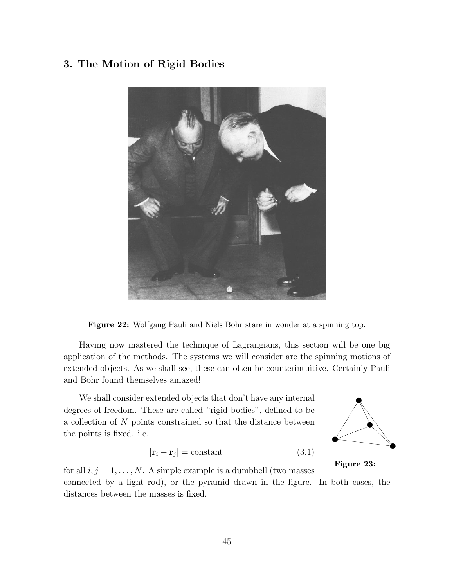# 3. The Motion of Rigid Bodies



Figure 22: Wolfgang Pauli and Niels Bohr stare in wonder at a spinning top.

Having now mastered the technique of Lagrangians, this section will be one big application of the methods. The systems we will consider are the spinning motions of extended objects. As we shall see, these can often be counterintuitive. Certainly Pauli and Bohr found themselves amazed!

We shall consider extended objects that don't have any internal degrees of freedom. These are called "rigid bodies", defined to be a collection of *N* points constrained so that the distance between the points is fixed. i.e.

$$
|\mathbf{r}_i - \mathbf{r}_j| = \text{constant} \tag{3.1}
$$



Figure 23:

for all  $i, j = 1, \ldots, N$ . A simple example is a dumbbell (two masses connected by a light rod), or the pyramid drawn in the figure. In both cases, the distances between the masses is fixed.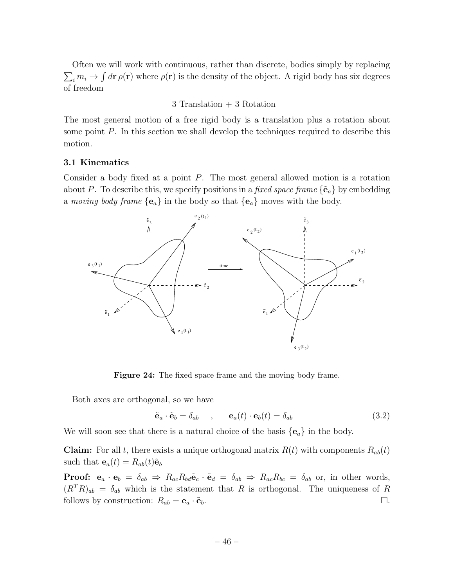Often we will work with continuous, rather than discrete, bodies simply by replacing  $\sum_i m_i \to \int d\mathbf{r} \rho(\mathbf{r})$  where  $\rho(\mathbf{r})$  is the density of the object. A rigid body has six degrees of freedom

# 3 Translation + 3 Rotation

The most general motion of a free rigid body is a translation plus a rotation about some point *P*. In this section we shall develop the techniques required to describe this motion.

#### 3.1 Kinematics

Consider a body fixed at a point *P*. The most general allowed motion is a rotation about *P*. To describe this, we specify positions in a *fixed space frame*  $\{\tilde{\mathbf{e}}_a\}$  by embedding a *moving body frame*  ${e_a}$  in the body so that  ${e_a}$  moves with the body.



Figure 24: The fixed space frame and the moving body frame.

Both axes are orthogonal, so we have

$$
\tilde{\mathbf{e}}_a \cdot \tilde{\mathbf{e}}_b = \delta_{ab} \qquad , \qquad \mathbf{e}_a(t) \cdot \mathbf{e}_b(t) = \delta_{ab} \tag{3.2}
$$

We will soon see that there is a natural choice of the basis  ${e_a}$  in the body.

**Claim:** For all *t*, there exists a unique orthogonal matrix  $R(t)$  with components  $R_{ab}(t)$ such that  $\mathbf{e}_a(t) = R_{ab}(t)\tilde{\mathbf{e}}_b$ 

**Proof:**  $e_a \cdot e_b = \delta_{ab} \Rightarrow R_{ac}R_{bd}\tilde{e}_c \cdot \tilde{e}_d = \delta_{ab} \Rightarrow R_{ac}R_{bc} = \delta_{ab}$  or, in other words,  $(R^TR)_{ab} = \delta_{ab}$  which is the statement that *R* is orthogonal. The uniqueness of *R* follows by construction:  $R_{ab} = \mathbf{e}_a \cdot \tilde{\mathbf{e}}_b$ .  $\Box$ .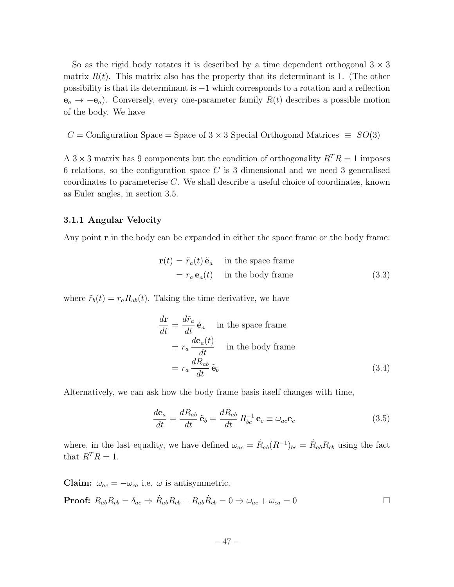So as the rigid body rotates it is described by a time dependent orthogonal  $3 \times 3$ matrix  $R(t)$ . This matrix also has the property that its determinant is 1. (The other possibility is that its determinant is  $-1$  which corresponds to a rotation and a reflection  $e_a \rightarrow -e_a$ ). Conversely, every one-parameter family  $R(t)$  describes a possible motion of the body. We have

 $C =$  Configuration Space = Space of  $3 \times 3$  Special Orthogonal Matrices  $\equiv SO(3)$ 

A  $3 \times 3$  matrix has 9 components but the condition of orthogonality  $R^T R = 1$  imposes 6 relations, so the configuration space *C* is 3 dimensional and we need 3 generalised coordinates to parameterise *C*. We shall describe a useful choice of coordinates, known as Euler angles, in section 3.5.

#### 3.1.1 Angular Velocity

Any point  $\mathbf r$  in the body can be expanded in either the space frame or the body frame:

$$
\mathbf{r}(t) = \tilde{r}_a(t) \tilde{\mathbf{e}}_a \quad \text{in the space frame}
$$
  
=  $r_a \mathbf{e}_a(t)$  in the body frame (3.3)

where  $\tilde{r}_b(t) = r_a R_{ab}(t)$ . Taking the time derivative, we have

$$
\frac{d\mathbf{r}}{dt} = \frac{d\tilde{r}_a}{dt} \tilde{\mathbf{e}}_a \quad \text{in the space frame}
$$
\n
$$
= r_a \frac{d\mathbf{e}_a(t)}{dt} \quad \text{in the body frame}
$$
\n
$$
= r_a \frac{dR_{ab}}{dt} \tilde{\mathbf{e}}_b \tag{3.4}
$$

Alternatively, we can ask how the body frame basis itself changes with time,

$$
\frac{d\mathbf{e}_a}{dt} = \frac{dR_{ab}}{dt}\,\tilde{\mathbf{e}}_b = \frac{dR_{ab}}{dt}\,R_{bc}^{-1}\,\mathbf{e}_c \equiv \omega_{ac}\mathbf{e}_c\tag{3.5}
$$

where, in the last equality, we have defined  $\omega_{ac} = \dot{R}_{ab}(R^{-1})_{bc} = \dot{R}_{ab}R_{cb}$  using the fact that  $R^T R = 1$ .

**Claim:**  $\omega_{ac} = -\omega_{ca}$  i.e.  $\omega$  is antisymmetric.

**Proof:** 
$$
R_{ab}R_{cb} = \delta_{ac} \Rightarrow \dot{R}_{ab}R_{cb} + R_{ab}\dot{R}_{cb} = 0 \Rightarrow \omega_{ac} + \omega_{ca} = 0
$$

$$
-47 -
$$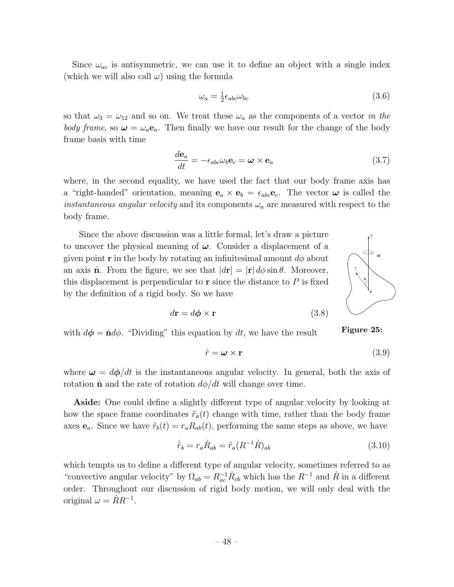Since  $\omega_{ac}$  is antisymmetric, we can use it to define an object with a single index (which we will also call  $\omega$ ) using the formula

$$
\omega_a = \frac{1}{2} \epsilon_{abc} \omega_{bc} \tag{3.6}
$$

so that  $\omega_3 = \omega_{12}$  and so on. We treat these  $\omega_a$  as the components of a vector *in the body frame*, so  $\omega = \omega_a \mathbf{e}_a$ . Then finally we have our result for the change of the body frame basis with time

$$
\frac{d\mathbf{e}_a}{dt} = -\epsilon_{abc}\omega_b \mathbf{e}_c = \boldsymbol{\omega} \times \mathbf{e}_a \tag{3.7}
$$

where, in the second equality, we have used the fact that our body frame axis has a "right-handed" orientation, meaning  $\mathbf{e}_a \times \mathbf{e}_b = \epsilon_{abc} \mathbf{e}_c$ . The vector  $\boldsymbol{\omega}$  is called the *instantaneous angular velocity* and its components  $\omega_a$  are measured with respect to the body frame.

Since the above discussion was a little formal, let's draw a picture to uncover the physical meaning of  $\omega$ . Consider a displacement of a given point **r** in the body by rotating an infinitesimal amount  $d\phi$  about an axis  $\hat{\mathbf{n}}$ . From the figure, we see that  $|\mathbf{dr}| = |\mathbf{r}| d\phi \sin \theta$ . Moreover, this displacement is perpendicular to  $\mathbf r$  since the distance to  $P$  is fixed by the definition of a rigid body. So we have



Figure 25:

$$
d\mathbf{r} = d\boldsymbol{\phi} \times \mathbf{r} \tag{3.8}
$$

with  $d\phi = \hat{n}d\phi$ . "Dividing" this equation by dt, we have the result

$$
\dot{r} = \boldsymbol{\omega} \times \mathbf{r} \tag{3.9}
$$

where  $\omega = d\phi/dt$  is the instantaneous angular velocity. In general, both the axis of rotation  $\hat{\mathbf{n}}$  and the rate of rotation  $d\phi/dt$  will change over time.

Aside: One could define a slightly different type of angular velocity by looking at how the space frame coordinates  $\tilde{r}_a(t)$  change with time, rather than the body frame axes  $e_a$ . Since we have  $\tilde{r}_b(t) = r_a R_{ab}(t)$ , performing the same steps as above, we have

$$
\dot{\tilde{r}}_b = r_a \dot{R}_{ab} = \tilde{r}_a (R^{-1} \dot{R})_{ab} \tag{3.10}
$$

which tempts us to define a different type of angular velocity, sometimes referred to as "convective angular velocity" by  $\Omega_{ab} = R_{ac}^{-1} \dot{R}_{cb}$  which has the  $R^{-1}$  and  $\dot{R}$  in a different order. Throughout our discussion of rigid body motion, we will only deal with the original  $\omega = RR^{-1}$ .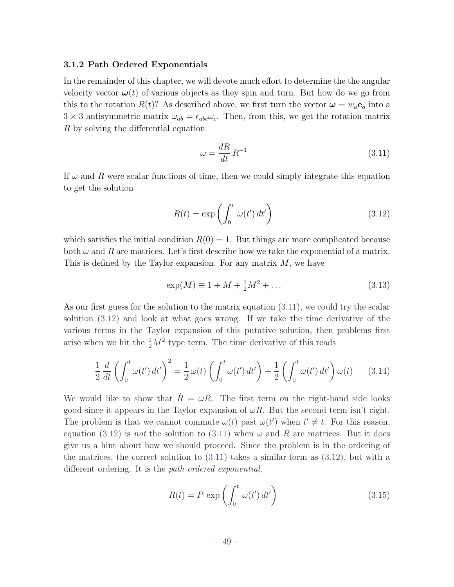#### 3.1.2 Path Ordered Exponentials

In the remainder of this chapter, we will devote much effort to determine the the angular velocity vector  $\boldsymbol{\omega}(t)$  of various objects as they spin and turn. But how do we go from this to the rotation  $R(t)$ ? As described above, we first turn the vector  $\boldsymbol{\omega} = w_a \mathbf{e}_a$  into a  $3 \times 3$  antisymmetric matrix  $\omega_{ab} = \epsilon_{abc}\omega_c$ . Then, from this, we get the rotation matrix *R* by solving the differential equation

$$
\omega = \frac{dR}{dt} R^{-1} \tag{3.11}
$$

If  $\omega$  and R were scalar functions of time, then we could simply integrate this equation to get the solution

$$
R(t) = \exp\left(\int_0^t \omega(t') dt'\right) \tag{3.12}
$$

which satisfies the initial condition  $R(0) = 1$ . But things are more complicated because both  $\omega$  and R are matrices. Let's first describe how we take the exponential of a matrix. This is defined by the Taylor expansion. For any matrix *M*, we have

$$
\exp(M) \equiv 1 + M + \frac{1}{2}M^2 + \dots \tag{3.13}
$$

As our first guess for the solution to the matrix equation (3.11), we could try the scalar solution (3.12) and look at what goes wrong. If we take the time derivative of the various terms in the Taylor expansion of this putative solution, then problems first arise when we hit the  $\frac{1}{2}M^2$  type term. The time derivative of this reads

$$
\frac{1}{2}\frac{d}{dt}\left(\int_0^t \omega(t')\,dt'\right)^2 = \frac{1}{2}\,\omega(t)\left(\int_0^t \omega(t')\,dt'\right) + \frac{1}{2}\left(\int_0^t \omega(t')\,dt'\right)\,\omega(t) \tag{3.14}
$$

We would like to show that  $\dot{R} = \omega R$ . The first term on the right-hand side looks good since it appears in the Taylor expansion of  $\omega R$ . But the second term isn't right. The problem is that we cannot commute  $\omega(t)$  past  $\omega(t')$  when  $t' \neq t$ . For this reason, equation (3.12) is *not* the solution to (3.11) when  $\omega$  and *R* are matrices. But it does give us a hint about how we should proceed. Since the problem is in the ordering of the matrices, the correct solution to  $(3.11)$  takes a similar form as  $(3.12)$ , but with a different ordering. It is the *path ordered exponential*,

$$
R(t) = P \exp\left(\int_0^t \omega(t') dt'\right) \tag{3.15}
$$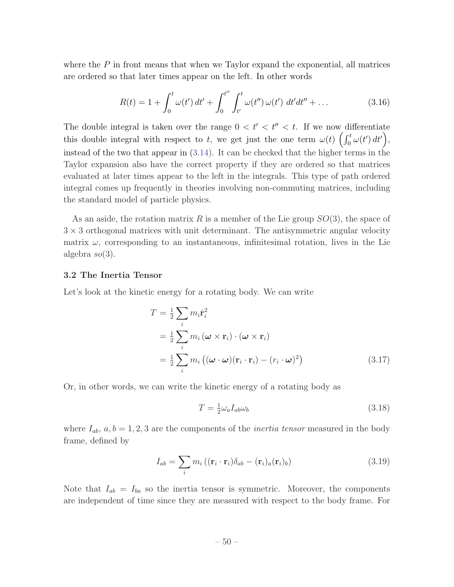where the *P* in front means that when we Taylor expand the exponential, all matrices are ordered so that later times appear on the left. In other words

$$
R(t) = 1 + \int_0^t \omega(t') dt' + \int_0^{t''} \int_{t'}^{t} \omega(t'') \omega(t') dt' dt'' + \dots
$$
 (3.16)

The double integral is taken over the range  $0 < t' < t'' < t$ . If we now differentiate this double integral with respect to *t*, we get just the one term  $\omega(t) \left( \int_0^t \omega(t') dt' \right)$ , instead of the two that appear in (3.14). It can be checked that the higher terms in the Taylor expansion also have the correct property if they are ordered so that matrices evaluated at later times appear to the left in the integrals. This type of path ordered integral comes up frequently in theories involving non-commuting matrices, including the standard model of particle physics.

As an aside, the rotation matrix *R* is a member of the Lie group *SO*(3), the space of  $3 \times 3$  orthogonal matrices with unit determinant. The antisymmetric angular velocity matrix  $\omega$ , corresponding to an instantaneous, infinitesimal rotation, lives in the Lie algebra *so*(3).

#### 3.2 The Inertia Tensor

Let's look at the kinetic energy for a rotating body. We can write

$$
T = \frac{1}{2} \sum_{i} m_{i} \dot{\mathbf{r}}_{i}^{2}
$$
  
=  $\frac{1}{2} \sum_{i} m_{i} (\boldsymbol{\omega} \times \mathbf{r}_{i}) \cdot (\boldsymbol{\omega} \times \mathbf{r}_{i})$   
=  $\frac{1}{2} \sum_{i} m_{i} ((\boldsymbol{\omega} \cdot \boldsymbol{\omega})(\mathbf{r}_{i} \cdot \mathbf{r}_{i}) - (r_{i} \cdot \boldsymbol{\omega})^{2})$  (3.17)

Or, in other words, we can write the kinetic energy of a rotating body as

$$
T = \frac{1}{2}\omega_a I_{ab}\omega_b \tag{3.18}
$$

where  $I_{ab}$ ,  $a, b = 1, 2, 3$  are the components of the *inertia tensor* measured in the body frame, defined by

$$
I_{ab} = \sum_{i} m_i \left( (\mathbf{r}_i \cdot \mathbf{r}_i) \delta_{ab} - (\mathbf{r}_i)_a (\mathbf{r}_i)_b \right) \tag{3.19}
$$

Note that  $I_{ab} = I_{ba}$  so the inertia tensor is symmetric. Moreover, the components are independent of time since they are measured with respect to the body frame. For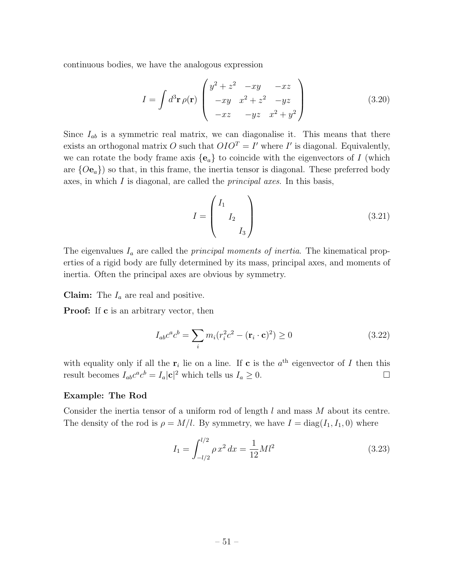continuous bodies, we have the analogous expression

$$
I = \int d^3 \mathbf{r} \,\rho(\mathbf{r}) \begin{pmatrix} y^2 + z^2 & -xy & -xz \\ -xy & x^2 + z^2 & -yz \\ -xz & -yz & x^2 + y^2 \end{pmatrix}
$$
 (3.20)

Since  $I_{ab}$  is a symmetric real matrix, we can diagonalise it. This means that there exists an orthogonal matrix O such that  $OIO^T = I'$  where I' is diagonal. Equivalently, we can rotate the body frame axis  ${e_a}$  to coincide with the eigenvectors of *I* (which are  ${Oe_a}$ ) so that, in this frame, the inertia tensor is diagonal. These preferred body axes, in which *I* is diagonal, are called the *principal axes*. In this basis,

$$
I = \begin{pmatrix} I_1 \\ I_2 \\ I_3 \end{pmatrix} \tag{3.21}
$$

The eigenvalues *I<sup>a</sup>* are called the *principal moments of inertia*. The kinematical properties of a rigid body are fully determined by its mass, principal axes, and moments of inertia. Often the principal axes are obvious by symmetry.

Claim: The *I<sup>a</sup>* are real and positive.

**Proof:** If **c** is an arbitrary vector, then

$$
I_{ab}c^a c^b = \sum_i m_i (r_i^2 c^2 - (\mathbf{r}_i \cdot \mathbf{c})^2) \ge 0
$$
 (3.22)

with equality only if all the  $r_i$  lie on a line. If c is the  $a<sup>th</sup>$  eigenvector of *I* then this result becomes  $I_{ab}c^a c^b = I_a |\mathbf{c}|^2$  which tells us  $I_a \geq 0$ .

#### Example: The Rod

Consider the inertia tensor of a uniform rod of length *l* and mass *M* about its centre. The density of the rod is  $\rho = M/l$ . By symmetry, we have  $I = diag(I_1, I_1, 0)$  where

$$
I_1 = \int_{-l/2}^{l/2} \rho x^2 dx = \frac{1}{12} M l^2
$$
 (3.23)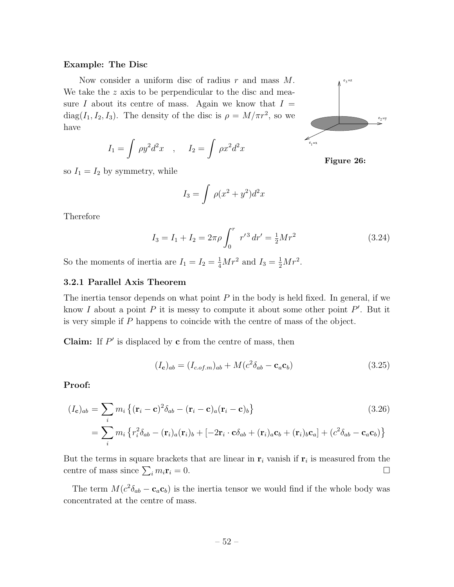#### Example: The Disc

Now consider a uniform disc of radius *r* and mass *M*. We take the *z* axis to be perpendicular to the disc and measure *I* about its centre of mass. Again we know that  $I =$ diag( $I_1, I_2, I_3$ ). The density of the disc is  $\rho = M/\pi r^2$ , so we have

$$
I_1 = \int \rho y^2 d^2 x \quad , \quad I_2 = \int \rho x^2 d^2 x
$$

so  $I_1 = I_2$  by symmetry, while

$$
I_3 = \int \rho(x^2 + y^2) d^2x
$$

Therefore

$$
I_3 = I_1 + I_2 = 2\pi\rho \int_0^r r'^3 dr' = \frac{1}{2} M r^2
$$
 (3.24)

So the moments of inertia are  $I_1 = I_2 = \frac{1}{4}Mr^2$  and  $I_3 = \frac{1}{2}Mr^2$ .

# 3.2.1 Parallel Axis Theorem

The inertia tensor depends on what point *P* in the body is held fixed. In general, if we know *I* about a point *P* it is messy to compute it about some other point *P'*. But it is very simple if *P* happens to coincide with the centre of mass of the object.

**Claim:** If  $P'$  is displaced by **c** from the centre of mass, then

$$
(I_{\mathbf{c}})_{ab} = (I_{c.of.m})_{ab} + M(c^2 \delta_{ab} - \mathbf{c}_a \mathbf{c}_b)
$$
\n(3.25)

Proof:

$$
(I_{\mathbf{c}})_{ab} = \sum_{i} m_i \left\{ (\mathbf{r}_i - \mathbf{c})^2 \delta_{ab} - (\mathbf{r}_i - \mathbf{c})_a (\mathbf{r}_i - \mathbf{c})_b \right\}
$$
(3.26)  

$$
= \sum_{i} m_i \left\{ r_i^2 \delta_{ab} - (\mathbf{r}_i)_a (\mathbf{r}_i)_b + [-2\mathbf{r}_i \cdot \mathbf{c} \delta_{ab} + (\mathbf{r}_i)_a \mathbf{c}_b + (\mathbf{r}_i)_b \mathbf{c}_a] + (c^2 \delta_{ab} - \mathbf{c}_a \mathbf{c}_b) \right\}
$$

But the terms in square brackets that are linear in  $r_i$  vanish if  $r_i$  is measured from the centre of mass since  $\sum_i m_i \mathbf{r}_i = 0$ .

The term  $M(c^2\delta_{ab} - \mathbf{c}_a \mathbf{c}_b)$  is the inertia tensor we would find if the whole body was concentrated at the centre of mass.



Figure 26: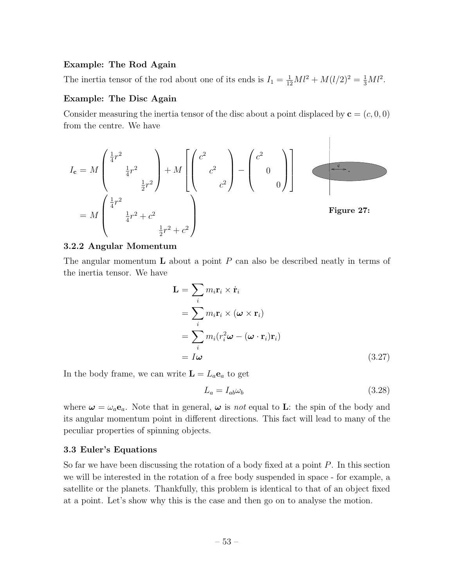#### Example: The Rod Again

The inertia tensor of the rod about one of its ends is  $I_1 = \frac{1}{12} M l^2 + M (l/2)^2 = \frac{1}{3} M l^2$ .

# Example: The Disc Again

Consider measuring the inertia tensor of the disc about a point displaced by  $\mathbf{c} = (c, 0, 0)$ from the centre. We have

$$
I_{\mathbf{c}} = M \begin{pmatrix} \frac{1}{4}r^2 \\ \frac{1}{4}r^2 \\ \frac{1}{2}r^2 \end{pmatrix} + M \begin{bmatrix} c^2 \\ c^2 \\ c^2 \end{bmatrix} - \begin{pmatrix} c^2 \\ 0 \\ 0 \end{pmatrix}
$$
  
=  $M \begin{pmatrix} \frac{1}{4}r^2 \\ \frac{1}{4}r^2 + c^2 \\ \frac{1}{2}r^2 + c^2 \end{pmatrix}$  Figure 27:

#### 3.2.2 Angular Momentum

The angular momentum L about a point *P* can also be described neatly in terms of the inertia tensor. We have

$$
\mathbf{L} = \sum_{i} m_{i} \mathbf{r}_{i} \times \dot{\mathbf{r}}_{i}
$$
  
= 
$$
\sum_{i} m_{i} \mathbf{r}_{i} \times (\boldsymbol{\omega} \times \mathbf{r}_{i})
$$
  
= 
$$
\sum_{i} m_{i} (r_{i}^{2} \boldsymbol{\omega} - (\boldsymbol{\omega} \cdot \mathbf{r}_{i}) \mathbf{r}_{i})
$$
  
= 
$$
I \boldsymbol{\omega}
$$
 (3.27)

In the body frame, we can write  $\mathbf{L} = L_a \mathbf{e}_a$  to get

$$
L_a = I_{ab}\omega_b \tag{3.28}
$$

 $\overline{\phantom{a}}$ 

where  $\omega = \omega_a \mathbf{e}_a$ . Note that in general,  $\omega$  is *not* equal to **L**: the spin of the body and its angular momentum point in different directions. This fact will lead to many of the peculiar properties of spinning objects.

#### 3.3 Euler's Equations

So far we have been discussing the rotation of a body fixed at a point *P*. In this section we will be interested in the rotation of a free body suspended in space - for example, a satellite or the planets. Thankfully, this problem is identical to that of an object fixed at a point. Let's show why this is the case and then go on to analyse the motion.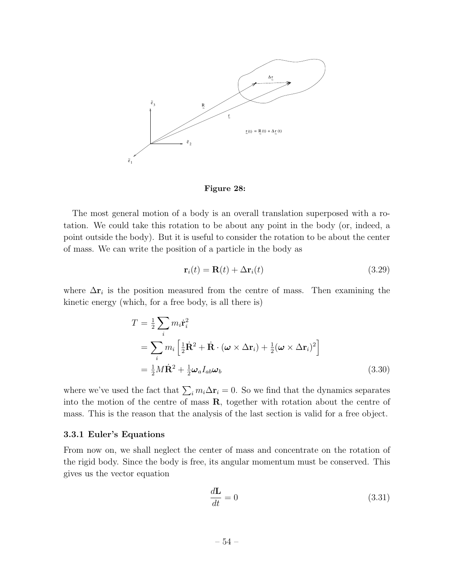

Figure 28:

The most general motion of a body is an overall translation superposed with a rotation. We could take this rotation to be about any point in the body (or, indeed, a point outside the body). But it is useful to consider the rotation to be about the center of mass. We can write the position of a particle in the body as

$$
\mathbf{r}_i(t) = \mathbf{R}(t) + \Delta \mathbf{r}_i(t) \tag{3.29}
$$

where  $\Delta r_i$  is the position measured from the centre of mass. Then examining the kinetic energy (which, for a free body, is all there is)

$$
T = \frac{1}{2} \sum_{i} m_{i} \dot{\mathbf{r}}_{i}^{2}
$$
  
= 
$$
\sum_{i} m_{i} \left[ \frac{1}{2} \dot{\mathbf{R}}^{2} + \dot{\mathbf{R}} \cdot (\boldsymbol{\omega} \times \Delta \mathbf{r}_{i}) + \frac{1}{2} (\boldsymbol{\omega} \times \Delta \mathbf{r}_{i})^{2} \right]
$$
  
= 
$$
\frac{1}{2} M \dot{\mathbf{R}}^{2} + \frac{1}{2} \boldsymbol{\omega}_{a} I_{ab} \boldsymbol{\omega}_{b}
$$
(3.30)

where we've used the fact that  $\sum_i m_i \Delta \mathbf{r}_i = 0$ . So we find that the dynamics separates into the motion of the centre of mass  $\mathbf{R}$ , together with rotation about the centre of mass. This is the reason that the analysis of the last section is valid for a free object.

#### 3.3.1 Euler's Equations

From now on, we shall neglect the center of mass and concentrate on the rotation of the rigid body. Since the body is free, its angular momentum must be conserved. This gives us the vector equation

$$
\frac{d\mathbf{L}}{dt} = 0\tag{3.31}
$$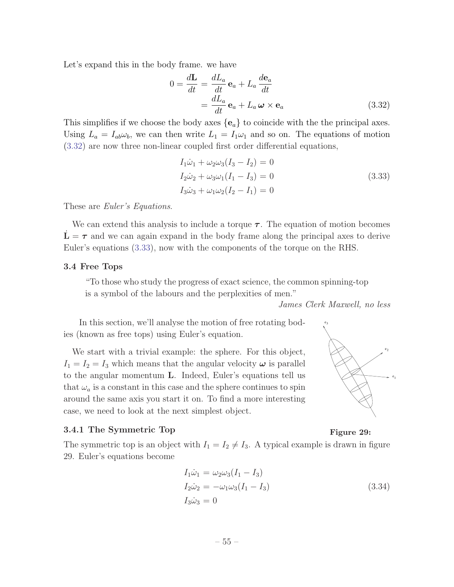Let's expand this in the body frame. we have

$$
0 = \frac{d\mathbf{L}}{dt} = \frac{dL_a}{dt} \mathbf{e}_a + L_a \frac{d\mathbf{e}_a}{dt}
$$
  
=  $\frac{dL_a}{dt} \mathbf{e}_a + L_a \boldsymbol{\omega} \times \mathbf{e}_a$  (3.32)

This simplifies if we choose the body axes *{*e*a}* to coincide with the the principal axes. Using  $L_a = I_{ab} \omega_b$ , we can then write  $L_1 = I_1 \omega_1$  and so on. The equations of motion  $(3.32)$  are now three non-linear coupled first order differential equations,

$$
I_1\dot{\omega}_1 + \omega_2\omega_3(I_3 - I_2) = 0
$$
  
\n
$$
I_2\dot{\omega}_2 + \omega_3\omega_1(I_1 - I_3) = 0
$$
  
\n
$$
I_3\dot{\omega}_3 + \omega_1\omega_2(I_2 - I_1) = 0
$$
\n(3.33)

These are *Euler's Equations*.

We can extend this analysis to include a torque  $\tau$ . The equation of motion becomes  $L = \tau$  and we can again expand in the body frame along the principal axes to derive Euler's equations (3.33), now with the components of the torque on the RHS.

#### 3.4 Free Tops

"To those who study the progress of exact science, the common spinning-top is a symbol of the labours and the perplexities of men."

*James Clerk Maxwell, no less*

In this section, we'll analyse the motion of free rotating bodies (known as free tops) using Euler's equation.

We start with a trivial example: the sphere. For this object,  $I_1 = I_2 = I_3$  which means that the angular velocity  $\omega$  is parallel to the angular momentum L. Indeed, Euler's equations tell us that  $\omega_a$  is a constant in this case and the sphere continues to spin around the same axis you start it on. To find a more interesting case, we need to look at the next simplest object.

#### 3.4.1 The Symmetric Top



Figure 29:

The symmetric top is an object with  $I_1 = I_2 \neq I_3$ . A typical example is drawn in figure 29. Euler's equations become

$$
I_1\dot{\omega}_1 = \omega_2\omega_3(I_1 - I_3)
$$
  
\n
$$
I_2\dot{\omega}_2 = -\omega_1\omega_3(I_1 - I_3)
$$
  
\n
$$
I_3\dot{\omega}_3 = 0
$$
\n(3.34)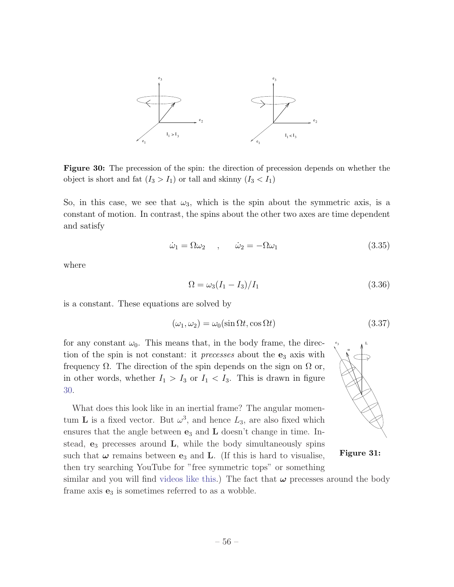

Figure 30: The precession of the spin: the direction of precession depends on whether the object is short and fat  $(I_3 > I_1)$  or tall and skinny  $(I_3 < I_1)$ 

So, in this case, we see that  $\omega_3$ , which is the spin about the symmetric axis, is a constant of motion. In contrast, the spins about the other two axes are time dependent and satisfy

$$
\dot{\omega}_1 = \Omega \omega_2 \qquad , \qquad \dot{\omega}_2 = -\Omega \omega_1 \tag{3.35}
$$

where

$$
\Omega = \omega_3 (I_1 - I_3) / I_1 \tag{3.36}
$$

is a constant. These equations are solved by

$$
(\omega_1, \omega_2) = \omega_0(\sin \Omega t, \cos \Omega t)
$$
\n(3.37)

for any constant  $\omega_0$ . This means that, in the body frame, the direction of the spin is not constant: it *precesses* about the  $e_3$  axis with frequency  $\Omega$ . The direction of the spin depends on the sign on  $\Omega$  or, in other words, whether  $I_1 > I_3$  or  $I_1 < I_3$ . This is drawn in figure 30.

What does this look like in an inertial frame? The angular momentum **L** is a fixed vector. But  $\omega^3$ , and hence  $L_3$ , are also fixed which ensures that the angle between  $e_3$  and  $L$  doesn't change in time. Instead,  $e_3$  precesses around  $L$ , while the body simultaneously spins such that  $\omega$  remains between  $e_3$  and **L**. (If this is hard to visualise, then try searching YouTube for "free symmetric tops" or something



Figure 31:

similar and you will find videos like this.) The fact that  $\omega$  precesses around the body frame axis  $e_3$  is sometimes referred to as a wobble.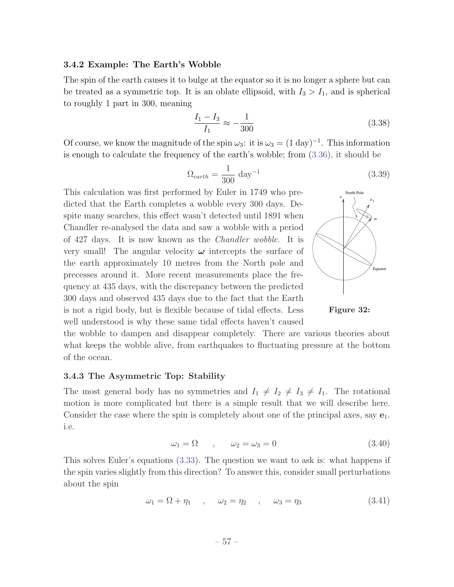#### 3.4.2 Example: The Earth's Wobble

The spin of the earth causes it to bulge at the equator so it is no longer a sphere but can be treated as a symmetric top. It is an oblate ellipsoid, with  $I_3 > I_1$ , and is spherical to roughly 1 part in 300, meaning

$$
\frac{I_1 - I_3}{I_1} \approx -\frac{1}{300}
$$
\n(3.38)

Of course, we know the magnitude of the spin  $\omega_3$ : it is  $\omega_3 = (1 \text{ day})^{-1}$ . This information is enough to calculate the frequency of the earth's wobble; from (3.36), it should be

$$
\Omega_{earth} = \frac{1}{300} \text{ day}^{-1} \tag{3.39}
$$

This calculation was first performed by Euler in 1749 who pre dicted that the Earth completes a wobble every 300 days. Despite many searches, this effect wasn't detected until 1891 when Chandler re-analysed the data and saw a wobble with a period of 427 days. It is now known as the *Chandler wobble*. It is very small! The angular velocity  $\omega$  intercepts the surface of the earth approximately 10 metres from the North pole and precesses around it. More recent measurements place the frequency at 435 days, with the discrepancy between the predicted 300 days and observed 435 days due to the fact that the Earth is not a rigid body, but is flexible because of tidal effects. Less well understood is why these same tidal effects haven't caused



Figure 32:

the wobble to dampen and disappear completely. There are various theories about what keeps the wobble alive, from earthquakes to fluctuating pressure at the bottom of the ocean.

#### 3.4.3 The Asymmetric Top: Stability

The most general body has no symmetries and  $I_1 \neq I_2 \neq I_3 \neq I_1$ . The rotational motion is more complicated but there is a simple result that we will describe here. Consider the case where the spin is completely about one of the principal axes, say  $e_1$ . i.e.

$$
\omega_1 = \Omega \qquad , \qquad \omega_2 = \omega_3 = 0 \tag{3.40}
$$

This solves Euler's equations (3.33). The question we want to ask is: what happens if the spin varies slightly from this direction? To answer this, consider small perturbations about the spin

$$
\omega_1 = \Omega + \eta_1 \quad , \quad \omega_2 = \eta_2 \quad , \quad \omega_3 = \eta_3 \tag{3.41}
$$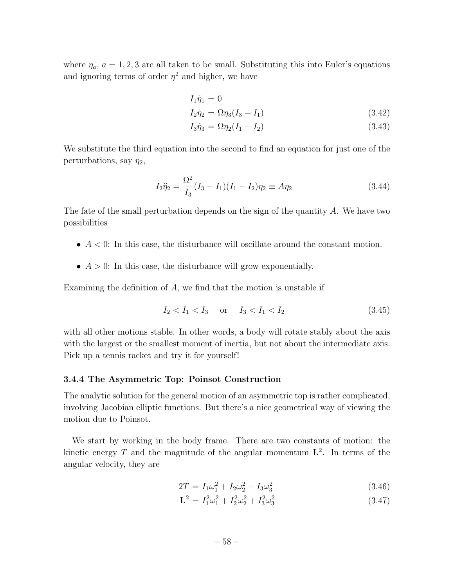where  $\eta_a$ ,  $a = 1, 2, 3$  are all taken to be small. Substituting this into Euler's equations and ignoring terms of order  $\eta^2$  and higher, we have

$$
I_1\dot{\eta}_1 = 0
$$

$$
I_2 \dot{\eta}_2 = \Omega \eta_3 (I_3 - I_1) \tag{3.42}
$$

$$
I_3 \dot{\eta}_3 = \Omega \eta_2 (I_1 - I_2) \tag{3.43}
$$

We substitute the third equation into the second to find an equation for just one of the perturbations, say  $\eta_2$ ,

$$
I_2 \ddot{\eta}_2 = \frac{\Omega^2}{I_3} (I_3 - I_1)(I_1 - I_2)\eta_2 \equiv A\eta_2 \tag{3.44}
$$

The fate of the small perturbation depends on the sign of the quantity *A*. We have two possibilities

- *• A <* 0: In this case, the disturbance will oscillate around the constant motion.
- *• A >* 0: In this case, the disturbance will grow exponentially.

Examining the definition of *A*, we find that the motion is unstable if

$$
I_2 < I_1 < I_3 \quad \text{or} \quad I_3 < I_1 < I_2 \tag{3.45}
$$

with all other motions stable. In other words, a body will rotate stably about the axis with the largest or the smallest moment of inertia, but not about the intermediate axis. Pick up a tennis racket and try it for yourself!

#### 3.4.4 The Asymmetric Top: Poinsot Construction

The analytic solution for the general motion of an asymmetric top is rather complicated, involving Jacobian elliptic functions. But there's a nice geometrical way of viewing the motion due to Poinsot.

We start by working in the body frame. There are two constants of motion: the kinetic energy *T* and the magnitude of the angular momentum  $\mathbf{L}^2$ . In terms of the angular velocity, they are

$$
2T = I_1\omega_1^2 + I_2\omega_2^2 + I_3\omega_3^2\tag{3.46}
$$

$$
\mathbf{L}^2 = I_1^2 \omega_1^2 + I_2^2 \omega_2^2 + I_3^2 \omega_3^2 \tag{3.47}
$$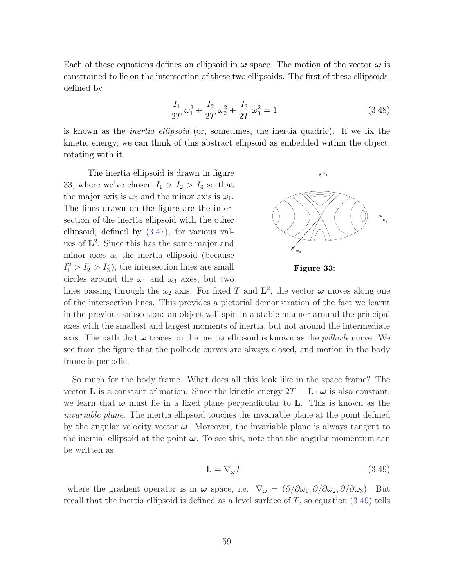Each of these equations defines an ellipsoid in  $\omega$  space. The motion of the vector  $\omega$  is constrained to lie on the intersection of these two ellipsoids. The first of these ellipsoids, defined by

$$
\frac{I_1}{2T}\omega_1^2 + \frac{I_2}{2T}\omega_2^2 + \frac{I_3}{2T}\omega_3^2 = 1\tag{3.48}
$$

is known as the *inertia ellipsoid* (or, sometimes, the inertia quadric). If we fix the kinetic energy, we can think of this abstract ellipsoid as embedded within the object, rotating with it.

The inertia ellipsoid is drawn in figure 33, where we've chosen  $I_1 > I_2 > I_3$  so that the major axis is  $\omega_3$  and the minor axis is  $\omega_1$ . The lines drawn on the figure are the intersection of the inertia ellipsoid with the other ellipsoid, defined by (3.47), for various values of  $L^2$ . Since this has the same major and minor axes as the inertia ellipsoid (because  $I_1^2 > I_2^2 > I_3^2$ , the intersection lines are small circles around the  $\omega_1$  and  $\omega_3$  axes, but two



Figure 33:

lines passing through the  $\omega_2$  axis. For fixed *T* and  $\mathbf{L}^2$ , the vector  $\boldsymbol{\omega}$  moves along one of the intersection lines. This provides a pictorial demonstration of the fact we learnt in the previous subsection: an object will spin in a stable manner around the principal axes with the smallest and largest moments of inertia, but not around the intermediate axis. The path that  $\omega$  traces on the inertia ellipsoid is known as the *polhode* curve. We see from the figure that the polhode curves are always closed, and motion in the body frame is periodic.

So much for the body frame. What does all this look like in the space frame? The vector **L** is a constant of motion. Since the kinetic energy  $2T = L \cdot \omega$  is also constant, we learn that  $\omega$  must lie in a fixed plane perpendicular to **L**. This is known as the *invariable plane*. The inertia ellipsoid touches the invariable plane at the point defined by the angular velocity vector  $\omega$ . Moreover, the invariable plane is always tangent to the inertial ellipsoid at the point  $\omega$ . To see this, note that the angular momentum can be written as

$$
\mathbf{L} = \nabla_{\omega} T \tag{3.49}
$$

where the gradient operator is in  $\omega$  space, i.e.  $\nabla_{\omega} = (\partial/\partial \omega_1, \partial/\partial \omega_2, \partial/\partial \omega_3)$ . But recall that the inertia ellipsoid is defined as a level surface of *T*, so equation (3.49) tells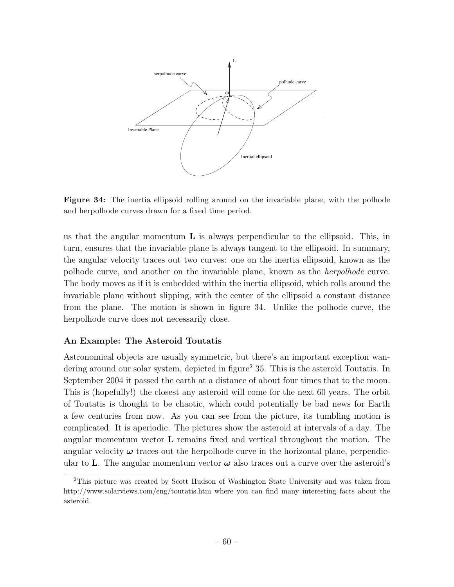

Figure 34: The inertia ellipsoid rolling around on the invariable plane, with the polhode and herpolhode curves drawn for a fixed time period.

us that the angular momentum  $\bf{L}$  is always perpendicular to the ellipsoid. This, in turn, ensures that the invariable plane is always tangent to the ellipsoid. In summary, the angular velocity traces out two curves: one on the inertia ellipsoid, known as the polhode curve, and another on the invariable plane, known as the *herpolhode* curve. The body moves as if it is embedded within the inertia ellipsoid, which rolls around the invariable plane without slipping, with the center of the ellipsoid a constant distance from the plane. The motion is shown in figure 34. Unlike the polhode curve, the herpolhode curve does not necessarily close.

# An Example: The Asteroid Toutatis

Astronomical objects are usually symmetric, but there's an important exception wandering around our solar system, depicted in figure<sup>2</sup> 35. This is the asteroid Toutatis. In September 2004 it passed the earth at a distance of about four times that to the moon. This is (hopefully!) the closest any asteroid will come for the next 60 years. The orbit of Toutatis is thought to be chaotic, which could potentially be bad news for Earth a few centuries from now. As you can see from the picture, its tumbling motion is complicated. It is aperiodic. The pictures show the asteroid at intervals of a day. The angular momentum vector L remains fixed and vertical throughout the motion. The angular velocity  $\omega$  traces out the herpolhode curve in the horizontal plane, perpendicular to L. The angular momentum vector  $\omega$  also traces out a curve over the asteroid's

<sup>2</sup>This picture was created by Scott Hudson of Washington State University and was taken from http://www.solarviews.com/eng/toutatis.htm where you can find many interesting facts about the asteroid.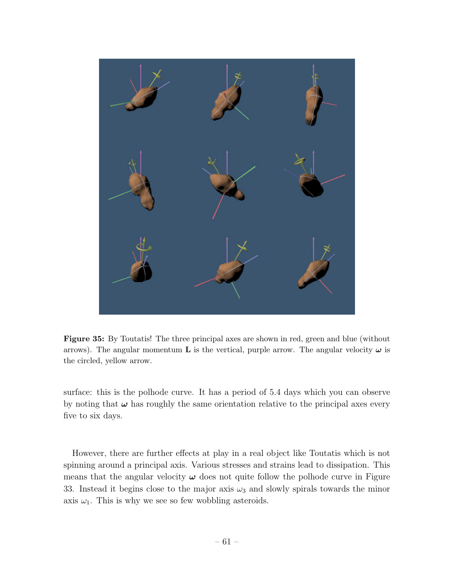

Figure 35: By Toutatis! The three principal axes are shown in red, green and blue (without arrows). The angular momentum **L** is the vertical, purple arrow. The angular velocity  $\omega$  is the circled, yellow arrow.

surface: this is the polhode curve. It has a period of 5.4 days which you can observe by noting that  $\omega$  has roughly the same orientation relative to the principal axes every five to six days.

However, there are further effects at play in a real object like Toutatis which is not spinning around a principal axis. Various stresses and strains lead to dissipation. This means that the angular velocity  $\omega$  does not quite follow the polhode curve in Figure 33. Instead it begins close to the major axis  $\omega_3$  and slowly spirals towards the minor axis  $\omega_1$ . This is why we see so few wobbling asteroids.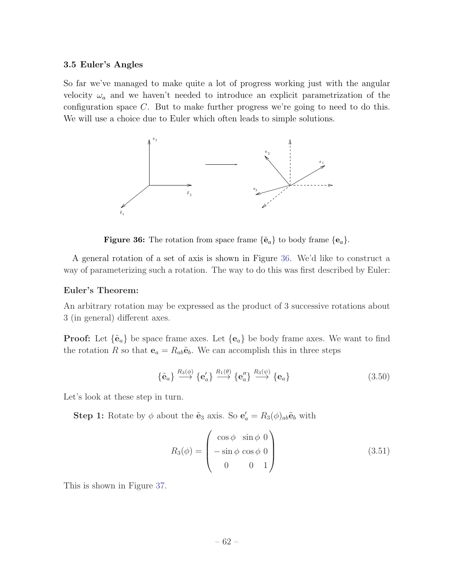#### 3.5 Euler's Angles

So far we've managed to make quite a lot of progress working just with the angular velocity  $\omega_a$  and we haven't needed to introduce an explicit parametrization of the configuration space *C*. But to make further progress we're going to need to do this. We will use a choice due to Euler which often leads to simple solutions.



Figure 36: The rotation from space frame  $\{\tilde{\mathbf{e}}_a\}$  to body frame  $\{\mathbf{e}_a\}$ .

A general rotation of a set of axis is shown in Figure 36. We'd like to construct a way of parameterizing such a rotation. The way to do this was first described by Euler:

# Euler's Theorem:

An arbitrary rotation may be expressed as the product of 3 successive rotations about 3 (in general) different axes.

**Proof:** Let  ${\{\tilde{\mathbf{e}}_a\}}$  be space frame axes. Let  ${\{\mathbf{e}_a\}}$  be body frame axes. We want to find the rotation *R* so that  $\mathbf{e}_a = R_{ab} \tilde{\mathbf{e}}_b$ . We can accomplish this in three steps

$$
\{\tilde{\mathbf{e}}_a\} \stackrel{R_3(\phi)}{\longrightarrow} \{\mathbf{e}'_a\} \stackrel{R_1(\theta)}{\longrightarrow} \{\mathbf{e}''_a\} \stackrel{R_3(\psi)}{\longrightarrow} \{\mathbf{e}_a\} \tag{3.50}
$$

Let's look at these step in turn.

**Step 1:** Rotate by  $\phi$  about the  $\tilde{\mathbf{e}}_3$  axis. So  $\mathbf{e}'_a = R_3(\phi)_{ab}\tilde{\mathbf{e}}_b$  with

$$
R_3(\phi) = \begin{pmatrix} \cos \phi & \sin \phi & 0 \\ -\sin \phi & \cos \phi & 0 \\ 0 & 0 & 1 \end{pmatrix}
$$
 (3.51)

This is shown in Figure 37.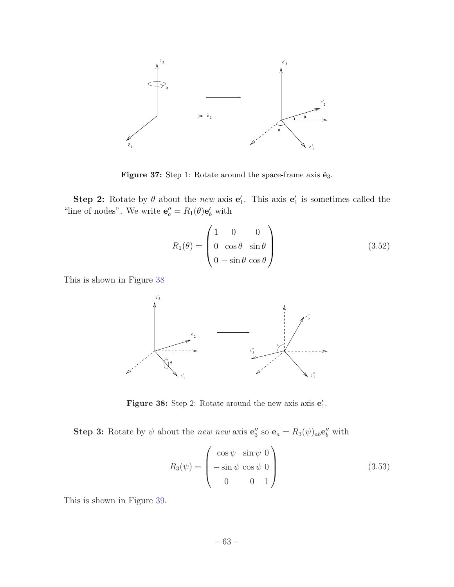

Figure 37: Step 1: Rotate around the space-frame axis  $\tilde{\mathbf{e}}_3$ .

**Step 2:** Rotate by  $\theta$  about the *new* axis  $\mathbf{e}'_1$ . This axis  $\mathbf{e}'_1$  is sometimes called the "line of nodes". We write  $\mathbf{e}_{a}^{"}=R_1(\theta)\mathbf{e}_{b}^{\prime}$  with

$$
R_1(\theta) = \begin{pmatrix} 1 & 0 & 0 \\ 0 & \cos \theta & \sin \theta \\ 0 & -\sin \theta & \cos \theta \end{pmatrix}
$$
 (3.52)

This is shown in Figure 38



**Figure 38:** Step 2: Rotate around the new axis axis  $e'_1$ .

**Step 3:** Rotate by  $\psi$  about the *new new* axis  $\mathbf{e}_3''$  so  $\mathbf{e}_a = R_3(\psi)_{ab} \mathbf{e}_b''$  with

$$
R_3(\psi) = \begin{pmatrix} \cos \psi & \sin \psi & 0 \\ -\sin \psi & \cos \psi & 0 \\ 0 & 0 & 1 \end{pmatrix}
$$
 (3.53)

This is shown in Figure 39.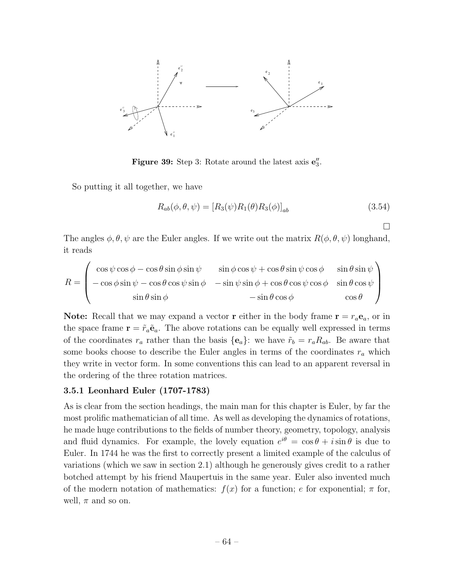

**Figure 39:** Step 3: Rotate around the latest axis  $\mathbf{e}''_3$ .

So putting it all together, we have

$$
R_{ab}(\phi, \theta, \psi) = [R_3(\psi)R_1(\theta)R_3(\phi)]_{ab}
$$
\n(3.54)

 $\Box$ 

The angles  $\phi$ ,  $\theta$ ,  $\psi$  are the Euler angles. If we write out the matrix  $R(\phi, \theta, \psi)$  longhand, it reads

$$
R = \begin{pmatrix} \cos \psi \cos \phi - \cos \theta \sin \phi \sin \psi & \sin \phi \cos \psi + \cos \theta \sin \psi \cos \phi & \sin \theta \sin \psi \\ -\cos \phi \sin \psi - \cos \theta \cos \psi \sin \phi & -\sin \psi \sin \phi + \cos \theta \cos \psi \cos \phi & \sin \theta \cos \psi \\ \sin \theta \sin \phi & -\sin \theta \cos \phi & \cos \theta \end{pmatrix}
$$

**Note:** Recall that we may expand a vector **r** either in the body frame  $\mathbf{r} = r_a \mathbf{e}_a$ , or in the space frame  $\mathbf{r} = \tilde{r}_a \tilde{\mathbf{e}}_a$ . The above rotations can be equally well expressed in terms of the coordinates  $r_a$  rather than the basis  $\{e_a\}$ : we have  $\tilde{r}_b = r_a R_{ab}$ . Be aware that some books choose to describe the Euler angles in terms of the coordinates  $r_a$  which they write in vector form. In some conventions this can lead to an apparent reversal in the ordering of the three rotation matrices.

# 3.5.1 Leonhard Euler (1707-1783)

As is clear from the section headings, the main man for this chapter is Euler, by far the most prolific mathematician of all time. As well as developing the dynamics of rotations, he made huge contributions to the fields of number theory, geometry, topology, analysis and fluid dynamics. For example, the lovely equation  $e^{i\theta} = \cos \theta + i \sin \theta$  is due to Euler. In 1744 he was the first to correctly present a limited example of the calculus of variations (which we saw in section 2.1) although he generously gives credit to a rather botched attempt by his friend Maupertuis in the same year. Euler also invented much of the modern notation of mathematics:  $f(x)$  for a function; *e* for exponential;  $\pi$  for, well,  $\pi$  and so on.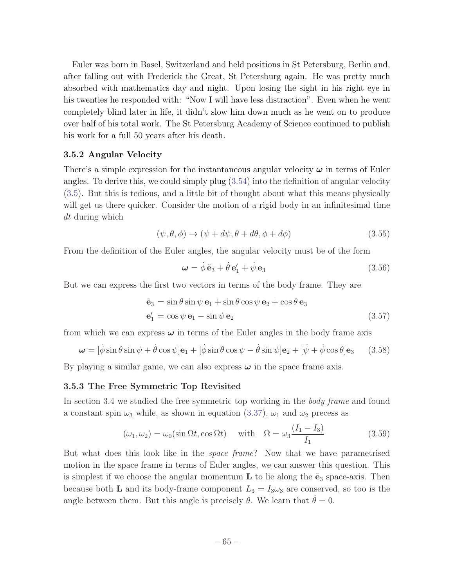Euler was born in Basel, Switzerland and held positions in St Petersburg, Berlin and, after falling out with Frederick the Great, St Petersburg again. He was pretty much absorbed with mathematics day and night. Upon losing the sight in his right eye in his twenties he responded with: "Now I will have less distraction". Even when he went completely blind later in life, it didn't slow him down much as he went on to produce over half of his total work. The St Petersburg Academy of Science continued to publish his work for a full 50 years after his death.

# 3.5.2 Angular Velocity

There's a simple expression for the instantaneous angular velocity  $\omega$  in terms of Euler angles. To derive this, we could simply plug (3.54) into the definition of angular velocity (3.5). But this is tedious, and a little bit of thought about what this means physically will get us there quicker. Consider the motion of a rigid body in an infinitesimal time *dt* during which

$$
(\psi, \theta, \phi) \to (\psi + d\psi, \theta + d\theta, \phi + d\phi) \tag{3.55}
$$

From the definition of the Euler angles, the angular velocity must be of the form

$$
\boldsymbol{\omega} = \dot{\phi} \tilde{\mathbf{e}}_3 + \dot{\theta} \mathbf{e}'_1 + \dot{\psi} \mathbf{e}_3 \tag{3.56}
$$

But we can express the first two vectors in terms of the body frame. They are

$$
\tilde{\mathbf{e}}_3 = \sin \theta \sin \psi \, \mathbf{e}_1 + \sin \theta \cos \psi \, \mathbf{e}_2 + \cos \theta \, \mathbf{e}_3
$$
\n
$$
\mathbf{e}'_1 = \cos \psi \, \mathbf{e}_1 - \sin \psi \, \mathbf{e}_2 \tag{3.57}
$$

from which we can express  $\omega$  in terms of the Euler angles in the body frame axis

$$
\boldsymbol{\omega} = [\dot{\phi}\sin\theta\sin\psi + \dot{\theta}\cos\psi]\mathbf{e}_1 + [\dot{\phi}\sin\theta\cos\psi - \dot{\theta}\sin\psi]\mathbf{e}_2 + [\dot{\psi} + \dot{\phi}\cos\theta]\mathbf{e}_3 \quad (3.58)
$$

By playing a similar game, we can also express  $\omega$  in the space frame axis.

#### 3.5.3 The Free Symmetric Top Revisited

In section 3.4 we studied the free symmetric top working in the *body frame* and found a constant spin  $\omega_3$  while, as shown in equation (3.37),  $\omega_1$  and  $\omega_2$  precess as

$$
(\omega_1, \omega_2) = \omega_0(\sin \Omega t, \cos \Omega t) \quad \text{with} \quad \Omega = \omega_3 \frac{(I_1 - I_3)}{I_1}
$$
 (3.59)

But what does this look like in the *space frame*? Now that we have parametrised motion in the space frame in terms of Euler angles, we can answer this question. This is simplest if we choose the angular momentum  $\bf{L}$  to lie along the  $\tilde{\bf{e}}_3$  space-axis. Then because both **L** and its body-frame component  $L_3 = I_3 \omega_3$  are conserved, so too is the angle between them. But this angle is precisely  $\theta$ . We learn that  $\dot{\theta} = 0$ .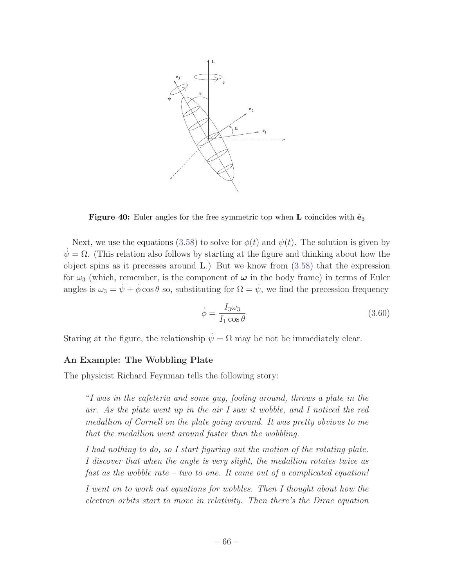

Figure 40: Euler angles for the free symmetric top when L coincides with  $\tilde{e}_3$ 

Next, we use the equations (3.58) to solve for  $\phi(t)$  and  $\psi(t)$ . The solution is given by  $\dot{\psi} = \Omega$ . (This relation also follows by starting at the figure and thinking about how the object spins as it precesses around  $\bf{L}$ .) But we know from  $(3.58)$  that the expression for  $\omega_3$  (which, remember, is the component of  $\omega$  in the body frame) in terms of Euler angles is  $\omega_3 = \dot{\psi} + \dot{\phi}\cos\theta$  so, substituting for  $\Omega = \dot{\psi}$ , we find the precession frequency

$$
\dot{\phi} = \frac{I_3 \omega_3}{I_1 \cos \theta} \tag{3.60}
$$

Staring at the figure, the relationship  $\dot{\psi} = \Omega$  may be not be immediately clear.

#### An Example: The Wobbling Plate

The physicist Richard Feynman tells the following story:

"*I was in the cafeteria and some guy, fooling around, throws a plate in the air. As the plate went up in the air I saw it wobble, and I noticed the red medallion of Cornell on the plate going around. It was pretty obvious to me that the medallion went around faster than the wobbling.*

*I had nothing to do, so I start figuring out the motion of the rotating plate. I discover that when the angle is very slight, the medallion rotates twice as fast as the wobble rate – two to one. It came out of a complicated equation!*

*I went on to work out equations for wobbles. Then I thought about how the electron orbits start to move in relativity. Then there's the Dirac equation*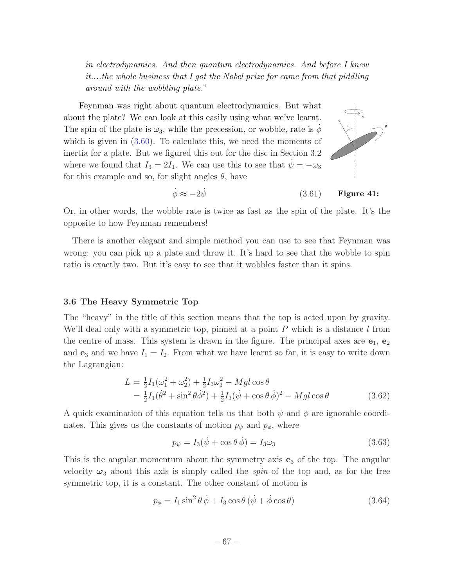*in electrodynamics. And then quantum electrodynamics. And before I knew it....the whole business that I got the Nobel prize for came from that piddling around with the wobbling plate.*"

Feynman was right about quantum electrodynamics. But what about the plate? We can look at this easily using what we've learnt. The spin of the plate is  $\omega_3$ , while the precession, or wobble, rate is  $\phi$ which is given in (3.60). To calculate this, we need the moments of inertia for a plate. But we figured this out for the disc in Section 3.2 where we found that  $I_3 = 2I_1$ . We can use this to see that  $\dot{\psi} = -\omega_3$ for this example and so, for slight angles  $\theta$ , have



.

Figure 41:  $\dot{\phi} \approx -2\dot{\psi}$  (3.61)

Or, in other words, the wobble rate is twice as fast as the spin of the plate. It's the opposite to how Feynman remembers!

There is another elegant and simple method you can use to see that Feynman was wrong: you can pick up a plate and throw it. It's hard to see that the wobble to spin ratio is exactly two. But it's easy to see that it wobbles faster than it spins.

# 3.6 The Heavy Symmetric Top

The "heavy" in the title of this section means that the top is acted upon by gravity. We'll deal only with a symmetric top, pinned at a point *P* which is a distance *l* from the centre of mass. This system is drawn in the figure. The principal axes are  $e_1, e_2$ and  $\mathbf{e}_3$  and we have  $I_1 = I_2$ . From what we have learnt so far, it is easy to write down the Lagrangian:

$$
L = \frac{1}{2}I_1(\omega_1^2 + \omega_2^2) + \frac{1}{2}I_3\omega_3^2 - Mgl\cos\theta
$$
  
=  $\frac{1}{2}I_1(\dot{\theta}^2 + \sin^2\theta\dot{\phi}^2) + \frac{1}{2}I_3(\dot{\psi} + \cos\theta\dot{\phi})^2 - Mgl\cos\theta$  (3.62)

A quick examination of this equation tells us that both  $\psi$  and  $\phi$  are ignorable coordinates. This gives us the constants of motion  $p_{\psi}$  and  $p_{\phi}$ , where

$$
p_{\psi} = I_3(\dot{\psi} + \cos \theta \, \dot{\phi}) = I_3 \omega_3 \tag{3.63}
$$

This is the angular momentum about the symmetry axis  $e_3$  of the top. The angular velocity  $\omega_3$  about this axis is simply called the *spin* of the top and, as for the free symmetric top, it is a constant. The other constant of motion is

$$
p_{\phi} = I_1 \sin^2 \theta \dot{\phi} + I_3 \cos \theta (\dot{\psi} + \dot{\phi} \cos \theta) \tag{3.64}
$$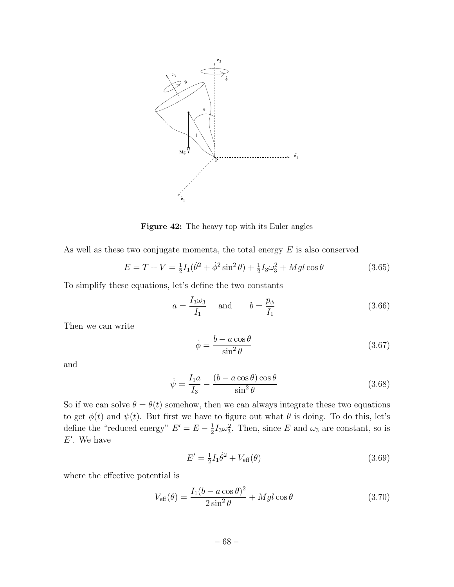

Figure 42: The heavy top with its Euler angles

As well as these two conjugate momenta, the total energy *E* is also conserved

$$
E = T + V = \frac{1}{2}I_1(\dot{\theta}^2 + \dot{\phi}^2 \sin^2 \theta) + \frac{1}{2}I_3\omega_3^2 + Mgl\cos\theta
$$
 (3.65)

To simplify these equations, let's define the two constants

$$
a = \frac{I_3 \omega_3}{I_1} \quad \text{and} \quad b = \frac{p_\phi}{I_1} \tag{3.66}
$$

Then we can write

$$
\dot{\phi} = \frac{b - a\cos\theta}{\sin^2\theta} \tag{3.67}
$$

and

$$
\dot{\psi} = \frac{I_1 a}{I_3} - \frac{(b - a\cos\theta)\cos\theta}{\sin^2\theta} \tag{3.68}
$$

So if we can solve  $\theta = \theta(t)$  somehow, then we can always integrate these two equations to get  $\phi(t)$  and  $\psi(t)$ . But first we have to figure out what  $\theta$  is doing. To do this, let's define the "reduced energy"  $E' = E - \frac{1}{2} I_3 \omega_3^2$ . Then, since *E* and  $\omega_3$  are constant, so is  $E'$ . We have

$$
E' = \frac{1}{2}I_1\dot{\theta}^2 + V_{\text{eff}}(\theta)
$$
\n(3.69)

where the effective potential is

$$
V_{\text{eff}}(\theta) = \frac{I_1(b - a\cos\theta)^2}{2\sin^2\theta} + Mgl\cos\theta
$$
 (3.70)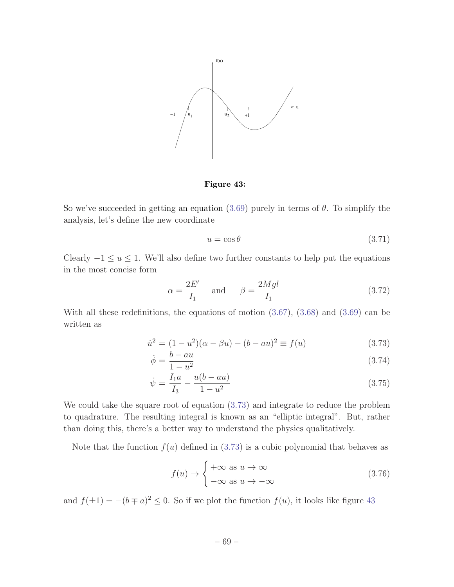

Figure 43:

So we've succeeded in getting an equation (3.69) purely in terms of  $\theta$ . To simplify the analysis, let's define the new coordinate

$$
u = \cos \theta \tag{3.71}
$$

Clearly  $-1 \le u \le 1$ . We'll also define two further constants to help put the equations in the most concise form

$$
\alpha = \frac{2E'}{I_1} \quad \text{and} \quad \beta = \frac{2Mgl}{I_1} \tag{3.72}
$$

With all these redefinitions, the equations of motion (3.67), (3.68) and (3.69) can be written as

$$
\dot{u}^2 = (1 - u^2)(\alpha - \beta u) - (b - au)^2 \equiv f(u) \tag{3.73}
$$

$$
\dot{\phi} = \frac{b - au}{1 - u^2} \tag{3.74}
$$

$$
\dot{\psi} = \frac{I_1 a}{I_3} - \frac{u(b - au)}{1 - u^2} \tag{3.75}
$$

We could take the square root of equation (3.73) and integrate to reduce the problem to quadrature. The resulting integral is known as an "elliptic integral". But, rather than doing this, there's a better way to understand the physics qualitatively.

Note that the function  $f(u)$  defined in  $(3.73)$  is a cubic polynomial that behaves as

$$
f(u) \to \begin{cases} +\infty & \text{as } u \to \infty \\ -\infty & \text{as } u \to -\infty \end{cases}
$$
 (3.76)

and  $f(\pm 1) = -(b \mp a)^2 \leq 0$ . So if we plot the function  $f(u)$ , it looks like figure 43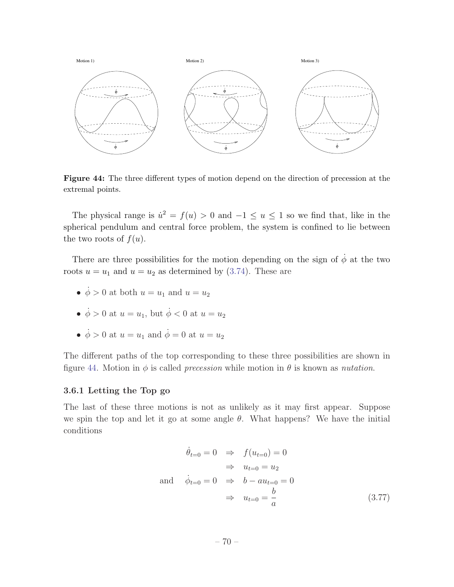

Figure 44: The three different types of motion depend on the direction of precession at the extremal points.

The physical range is  $\dot{u}^2 = f(u) > 0$  and  $-1 \le u \le 1$  so we find that, like in the spherical pendulum and central force problem, the system is confined to lie between the two roots of  $f(u)$ .

There are three possibilities for the motion depending on the sign of  $\dot{\phi}$  at the two roots  $u = u_1$  and  $u = u_2$  as determined by (3.74). These are

- $\dot{\phi} > 0$  at both  $u = u_1$  and  $u = u_2$
- $\dot{\phi} > 0$  at  $u = u_1$ , but  $\dot{\phi} < 0$  at  $u = u_2$
- $\dot{\phi} > 0$  at  $u = u_1$  and  $\dot{\phi} = 0$  at  $u = u_2$

The different paths of the top corresponding to these three possibilities are shown in figure 44. Motion in  $\phi$  is called *precession* while motion in  $\theta$  is known as *nutation*.

# 3.6.1 Letting the Top go

The last of these three motions is not as unlikely as it may first appear. Suppose we spin the top and let it go at some angle  $\theta$ . What happens? We have the initial conditions

$$
\dot{\theta}_{t=0} = 0 \Rightarrow f(u_{t=0}) = 0
$$
  
\n
$$
\Rightarrow u_{t=0} = u_2
$$
  
\nand 
$$
\dot{\phi}_{t=0} = 0 \Rightarrow b - au_{t=0} = 0
$$
  
\n
$$
\Rightarrow u_{t=0} = \frac{b}{a}
$$
 (3.77)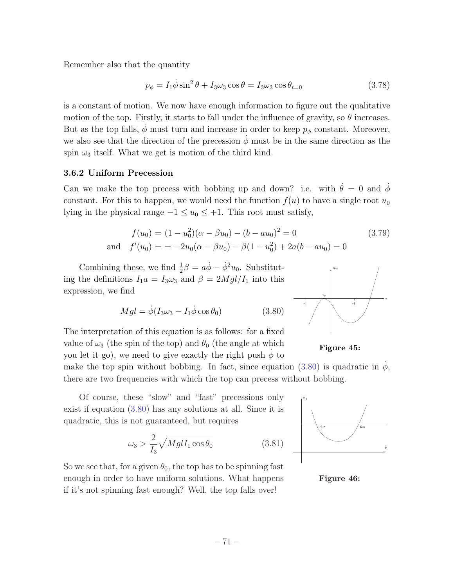Remember also that the quantity

$$
p_{\phi} = I_1 \dot{\phi} \sin^2 \theta + I_3 \omega_3 \cos \theta = I_3 \omega_3 \cos \theta_{t=0}
$$
\n(3.78)

is a constant of motion. We now have enough information to figure out the qualitative motion of the top. Firstly, it starts to fall under the influence of gravity, so  $\theta$  increases. But as the top falls,  $\dot{\phi}$  must turn and increase in order to keep  $p_{\phi}$  constant. Moreover, we also see that the direction of the precession  $\phi$  must be in the same direction as the spin  $\omega_3$  itself. What we get is motion of the third kind.

#### 3.6.2 Uniform Precession

Can we make the top precess with bobbing up and down? i.e. with  $\dot{\theta} = 0$  and  $\dot{\phi}$ constant. For this to happen, we would need the function  $f(u)$  to have a single root  $u_0$ lying in the physical range  $-1 \le u_0 \le +1$ . This root must satisfy,

$$
f(u_0) = (1 - u_0^2)(\alpha - \beta u_0) - (b - au_0)^2 = 0
$$
  
and 
$$
f'(u_0) = -2u_0(\alpha - \beta u_0) - \beta(1 - u_0^2) + 2a(b - au_0) = 0
$$
 (3.79)

Combining these, we find  $\frac{1}{2}\beta = a\dot{\phi} - \dot{\phi}^2 u_0$ . Substituting the definitions  $I_1a = I_3\omega_3$  and  $\beta = 2Mgl/I_1$  into this expression, we find

$$
Mgl = \dot{\phi}(I_3\omega_3 - I_1\dot{\phi}\cos\theta_0) \tag{3.80}
$$

The interpretation of this equation is as follows: for a fixed value of  $\omega_3$  (the spin of the top) and  $\theta_0$  (the angle at which you let it go), we need to give exactly the right push  $\phi$  to



Figure 45:

make the top spin without bobbing. In fact, since equation (3.80) is quadratic in  $\phi$ , there are two frequencies with which the top can precess without bobbing.

Of course, these "slow" and "fast" precessions only exist if equation (3.80) has any solutions at all. Since it is quadratic, this is not guaranteed, but requires

$$
\omega_3 > \frac{2}{I_3} \sqrt{Mgl I_1 \cos \theta_0} \tag{3.81}
$$

So we see that, for a given  $\theta_0$ , the top has to be spinning fast enough in order to have uniform solutions. What happens if it's not spinning fast enough? Well, the top falls over!



Figure 46: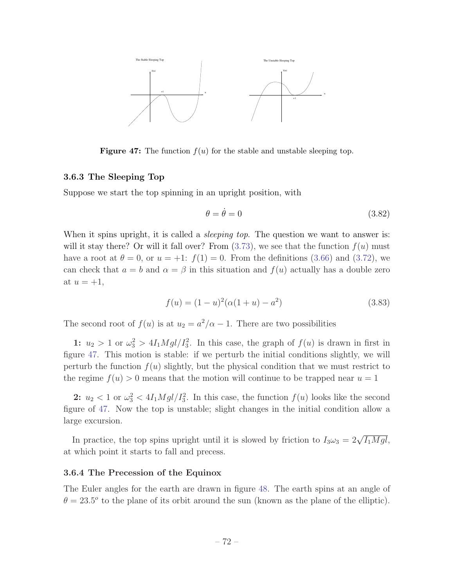

**Figure 47:** The function  $f(u)$  for the stable and unstable sleeping top.

#### 3.6.3 The Sleeping Top

Suppose we start the top spinning in an upright position, with

$$
\theta = \dot{\theta} = 0 \tag{3.82}
$$

When it spins upright, it is called a *sleeping top*. The question we want to answer is: will it stay there? Or will it fall over? From  $(3.73)$ , we see that the function  $f(u)$  must have a root at  $\theta = 0$ , or  $u = +1$ :  $f(1) = 0$ . From the definitions (3.66) and (3.72), we can check that  $a = b$  and  $\alpha = \beta$  in this situation and  $f(u)$  actually has a double zero at  $u = +1$ ,

$$
f(u) = (1 - u)^2 (\alpha (1 + u) - a^2)
$$
\n(3.83)

The second root of  $f(u)$  is at  $u_2 = a^2/\alpha - 1$ . There are two possibilities

1:  $u_2 > 1$  or  $\omega_3^2 > 4I_1Mgl/I_3^2$ . In this case, the graph of  $f(u)$  is drawn in first in figure 47. This motion is stable: if we perturb the initial conditions slightly, we will perturb the function  $f(u)$  slightly, but the physical condition that we must restrict to the regime  $f(u) > 0$  means that the motion will continue to be trapped near  $u = 1$ 

2:  $u_2 < 1$  or  $\omega_3^2 < 4I_1Mgl/I_3^2$ . In this case, the function  $f(u)$  looks like the second figure of 47. Now the top is unstable; slight changes in the initial condition allow a large excursion.

In practice, the top spins upright until it is slowed by friction to  $I_3\omega_3 = 2\sqrt{I_1Mgl}$ , at which point it starts to fall and precess.

#### 3.6.4 The Precession of the Equinox

The Euler angles for the earth are drawn in figure 48. The earth spins at an angle of  $\theta = 23.5^{\circ}$  to the plane of its orbit around the sun (known as the plane of the elliptic).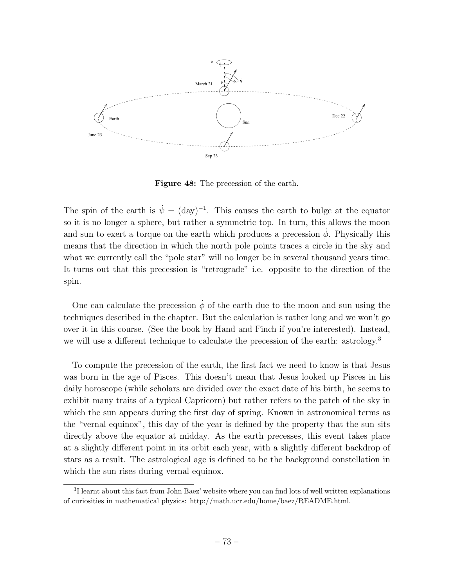

Figure 48: The precession of the earth.

The spin of the earth is  $\dot{\psi} = (day)^{-1}$ . This causes the earth to bulge at the equator so it is no longer a sphere, but rather a symmetric top. In turn, this allows the moon and sun to exert a torque on the earth which produces a precession  $\dot{\phi}$ . Physically this means that the direction in which the north pole points traces a circle in the sky and what we currently call the "pole star" will no longer be in several thousand years time. It turns out that this precession is "retrograde" i.e. opposite to the direction of the spin.

One can calculate the precession  $\dot{\phi}$  of the earth due to the moon and sun using the techniques described in the chapter. But the calculation is rather long and we won't go over it in this course. (See the book by Hand and Finch if you're interested). Instead, we will use a different technique to calculate the precession of the earth: astrology.<sup>3</sup>

To compute the precession of the earth, the first fact we need to know is that Jesus was born in the age of Pisces. This doesn't mean that Jesus looked up Pisces in his daily horoscope (while scholars are divided over the exact date of his birth, he seems to exhibit many traits of a typical Capricorn) but rather refers to the patch of the sky in which the sun appears during the first day of spring. Known in astronomical terms as the "vernal equinox", this day of the year is defined by the property that the sun sits directly above the equator at midday. As the earth precesses, this event takes place at a slightly different point in its orbit each year, with a slightly different backdrop of stars as a result. The astrological age is defined to be the background constellation in which the sun rises during vernal equinox.

<sup>&</sup>lt;sup>3</sup>I learnt about this fact from John Baez' website where you can find lots of well written explanations of curiosities in mathematical physics: http://math.ucr.edu/home/baez/README.html.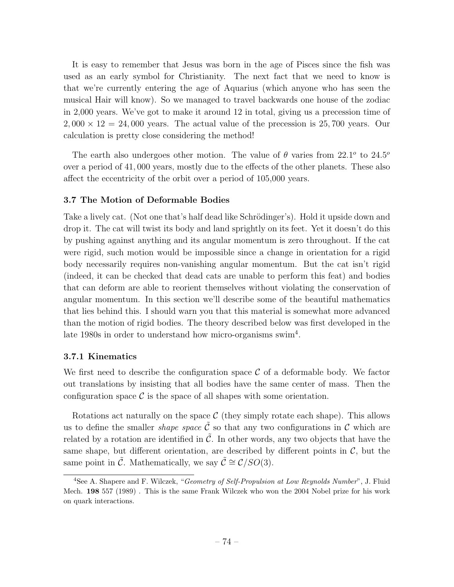It is easy to remember that Jesus was born in the age of Pisces since the fish was used as an early symbol for Christianity. The next fact that we need to know is that we're currently entering the age of Aquarius (which anyone who has seen the musical Hair will know). So we managed to travel backwards one house of the zodiac in 2,000 years. We've got to make it around 12 in total, giving us a precession time of  $2,000 \times 12 = 24,000$  years. The actual value of the precession is 25,700 years. Our calculation is pretty close considering the method!

The earth also undergoes other motion. The value of  $\theta$  varies from 22.1<sup>o</sup> to 24.5<sup>o</sup> over a period of 41,000 years, mostly due to the effects of the other planets. These also affect the eccentricity of the orbit over a period of  $105,000$  years.

# 3.7 The Motion of Deformable Bodies

Take a lively cat. (Not one that's half dead like Schrödinger's). Hold it upside down and drop it. The cat will twist its body and land sprightly on its feet. Yet it doesn't do this by pushing against anything and its angular momentum is zero throughout. If the cat were rigid, such motion would be impossible since a change in orientation for a rigid body necessarily requires non-vanishing angular momentum. But the cat isn't rigid (indeed, it can be checked that dead cats are unable to perform this feat) and bodies that can deform are able to reorient themselves without violating the conservation of angular momentum. In this section we'll describe some of the beautiful mathematics that lies behind this. I should warn you that this material is somewhat more advanced than the motion of rigid bodies. The theory described below was first developed in the late 1980s in order to understand how micro-organisms swim<sup>4</sup>.

#### 3.7.1 Kinematics

We first need to describe the configuration space  $\mathcal C$  of a deformable body. We factor out translations by insisting that all bodies have the same center of mass. Then the configuration space  $\mathcal C$  is the space of all shapes with some orientation.

Rotations act naturally on the space  $C$  (they simply rotate each shape). This allows us to define the smaller *shape space*  $\tilde{\mathcal{C}}$  so that any two configurations in  $\mathcal{C}$  which are related by a rotation are identified in  $\mathcal{C}$ . In other words, any two objects that have the same shape, but different orientation, are described by different points in  $\mathcal{C}$ , but the same point in  $\tilde{C}$ . Mathematically, we say  $\tilde{C} \cong \mathcal{C}/SO(3)$ .

<sup>4</sup>See A. Shapere and F. Wilczek, "*Geometry of Self-Propulsion at Low Reynolds Number*", J. Fluid Mech. 198 557 (1989) . This is the same Frank Wilczek who won the 2004 Nobel prize for his work on quark interactions.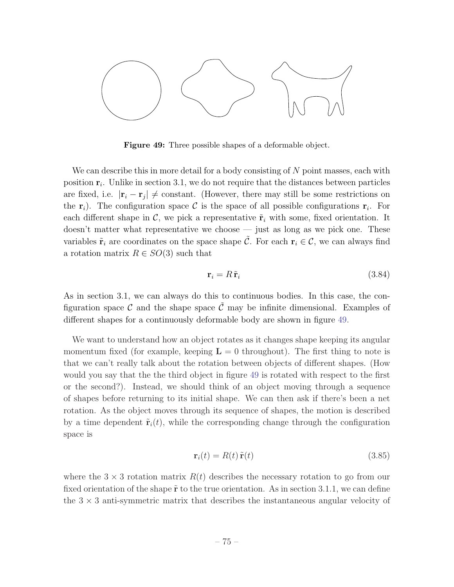

Figure 49: Three possible shapes of a deformable object.

We can describe this in more detail for a body consisting of *N* point masses, each with position r*i*. Unlike in section 3.1, we do not require that the distances between particles are fixed, i.e.  $|\mathbf{r}_i - \mathbf{r}_j| \neq \text{constant}$ . (However, there may still be some restrictions on the  $r_i$ ). The configuration space C is the space of all possible configurations  $r_i$ . For each different shape in  $\mathcal{C}$ , we pick a representative  $\tilde{\mathbf{r}}_i$  with some, fixed orientation. It doesn't matter what representative we choose — just as long as we pick one. These variables  $\tilde{\mathbf{r}}_i$  are coordinates on the space shape  $\tilde{\mathcal{C}}$ . For each  $\mathbf{r}_i \in \mathcal{C}$ , we can always find a rotation matrix  $R \in SO(3)$  such that

$$
\mathbf{r}_i = R \, \tilde{\mathbf{r}}_i \tag{3.84}
$$

As in section 3.1, we can always do this to continuous bodies. In this case, the configuration space  $\mathcal C$  and the shape space  $\mathcal C$  may be infinite dimensional. Examples of different shapes for a continuously deformable body are shown in figure 49.

We want to understand how an object rotates as it changes shape keeping its angular momentum fixed (for example, keeping  $\mathbf{L} = 0$  throughout). The first thing to note is that we can't really talk about the rotation between objects of different shapes. (How would you say that the the third object in figure 49 is rotated with respect to the first or the second?). Instead, we should think of an object moving through a sequence of shapes before returning to its initial shape. We can then ask if there's been a net rotation. As the object moves through its sequence of shapes, the motion is described by a time dependent  $\tilde{\mathbf{r}}_i(t)$ , while the corresponding change through the configuration space is

$$
\mathbf{r}_i(t) = R(t)\,\tilde{\mathbf{r}}(t) \tag{3.85}
$$

where the  $3 \times 3$  rotation matrix  $R(t)$  describes the necessary rotation to go from our fixed orientation of the shape  $\tilde{\mathbf{r}}$  to the true orientation. As in section 3.1.1, we can define the  $3 \times 3$  anti-symmetric matrix that describes the instantaneous angular velocity of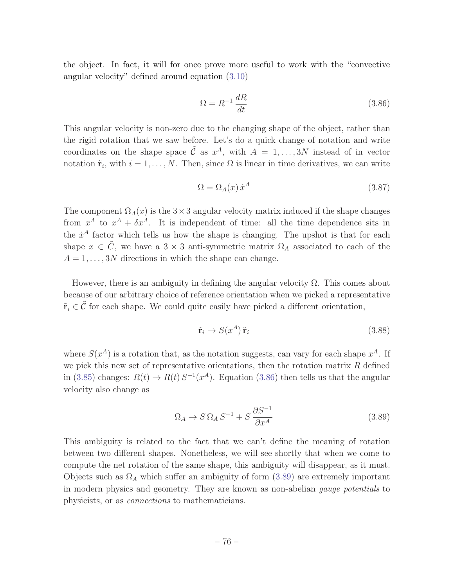the object. In fact, it will for once prove more useful to work with the "convective angular velocity" defined around equation (3.10)

$$
\Omega = R^{-1} \frac{dR}{dt} \tag{3.86}
$$

This angular velocity is non-zero due to the changing shape of the object, rather than the rigid rotation that we saw before. Let's do a quick change of notation and write coordinates on the shape space  $\tilde{\mathcal{C}}$  as  $x^A$ , with  $A = 1, \ldots, 3N$  instead of in vector notation  $\tilde{\mathbf{r}}_i$ , with  $i = 1, \ldots, N$ . Then, since  $\Omega$  is linear in time derivatives, we can write

$$
\Omega = \Omega_A(x) \dot{x}^A \tag{3.87}
$$

The component  $\Omega_A(x)$  is the  $3 \times 3$  angular velocity matrix induced if the shape changes from  $x^A$  to  $x^A + \delta x^A$ . It is independent of time: all the time dependence sits in the  $\dot{x}^A$  factor which tells us how the shape is changing. The upshot is that for each shape  $x \in \tilde{C}$ , we have a  $3 \times 3$  anti-symmetric matrix  $\Omega_A$  associated to each of the  $A = 1, \ldots, 3N$  directions in which the shape can change.

However, there is an ambiguity in defining the angular velocity  $\Omega$ . This comes about because of our arbitrary choice of reference orientation when we picked a representative  $\tilde{\mathbf{r}}_i \in \tilde{\mathcal{C}}$  for each shape. We could quite easily have picked a different orientation,

$$
\tilde{\mathbf{r}}_i \to S(x^A) \tilde{\mathbf{r}}_i \tag{3.88}
$$

where  $S(x^A)$  is a rotation that, as the notation suggests, can vary for each shape  $x^A$ . If we pick this new set of representative orientations, then the rotation matrix *R* defined in (3.85) changes:  $R(t) \to R(t) S^{-1}(x^A)$ . Equation (3.86) then tells us that the angular velocity also change as

$$
\Omega_A \to S \Omega_A S^{-1} + S \frac{\partial S^{-1}}{\partial x^A} \tag{3.89}
$$

This ambiguity is related to the fact that we can't define the meaning of rotation between two different shapes. Nonetheless, we will see shortly that when we come to compute the net rotation of the same shape, this ambiguity will disappear, as it must. Objects such as  $\Omega_A$  which suffer an ambiguity of form (3.89) are extremely important in modern physics and geometry. They are known as non-abelian *gauge potentials* to physicists, or as *connections* to mathematicians.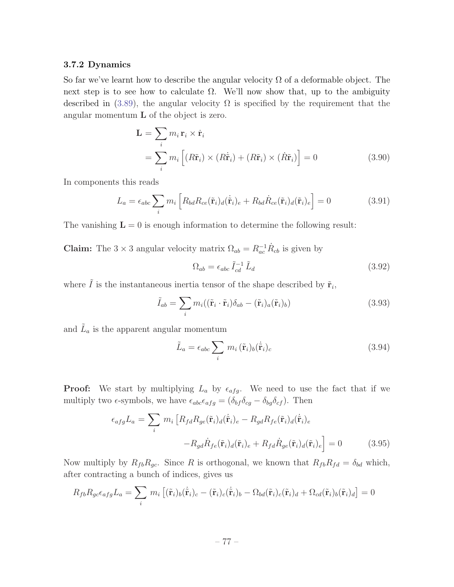# 3.7.2 Dynamics

So far we've learnt how to describe the angular velocity  $\Omega$  of a deformable object. The next step is to see how to calculate  $\Omega$ . We'll now show that, up to the ambiguity described in (3.89), the angular velocity  $\Omega$  is specified by the requirement that the angular momentum L of the object is zero.

$$
\mathbf{L} = \sum_{i} m_{i} \mathbf{r}_{i} \times \dot{\mathbf{r}}_{i}
$$
  
= 
$$
\sum_{i} m_{i} \left[ (R\tilde{\mathbf{r}}_{i}) \times (R\tilde{\mathbf{r}}_{i}) + (R\tilde{\mathbf{r}}_{i}) \times (R\tilde{\mathbf{r}}_{i}) \right] = 0
$$
 (3.90)

In components this reads

$$
L_a = \epsilon_{abc} \sum_i m_i \left[ R_{bd} R_{ce}(\tilde{\mathbf{r}}_i)_d (\dot{\tilde{\mathbf{r}}}_i)_e + R_{bd} \dot{R}_{ce}(\tilde{\mathbf{r}}_i)_d (\tilde{\mathbf{r}}_i)_e \right] = 0 \tag{3.91}
$$

The vanishing  $\mathbf{L} = 0$  is enough information to determine the following result:

**Claim:** The 3  $\times$  3 angular velocity matrix  $\Omega_{ab} = R_{ac}^{-1} \dot{R}_{cb}$  is given by

$$
\Omega_{ab} = \epsilon_{abc} \tilde{I}_{cd}^{-1} \tilde{L}_d \tag{3.92}
$$

where  $\tilde{I}$  is the instantaneous inertia tensor of the shape described by  $\tilde{\mathbf{r}}_i,$ 

$$
\tilde{I}_{ab} = \sum_{i} m_i ((\tilde{\mathbf{r}}_i \cdot \tilde{\mathbf{r}}_i) \delta_{ab} - (\tilde{\mathbf{r}}_i)_a (\tilde{\mathbf{r}}_i)_b)
$$
\n(3.93)

and  $\tilde{L}_a$  is the apparent angular momentum

$$
\tilde{L}_a = \epsilon_{abc} \sum_i m_i (\tilde{\mathbf{r}}_i)_b (\dot{\tilde{\mathbf{r}}}_i)_c \tag{3.94}
$$

**Proof:** We start by multiplying  $L_a$  by  $\epsilon_{afg}$ . We need to use the fact that if we multiply two  $\epsilon$ -symbols, we have  $\epsilon_{abc}\epsilon_{afg} = (\delta_{bf}\delta_{cg} - \delta_{bg}\delta_{cf})$ . Then

$$
\epsilon_{afg}L_a = \sum_i m_i \left[ R_{fd}R_{ge}(\tilde{\mathbf{r}}_i)_d(\dot{\tilde{\mathbf{r}}}_i)_e - R_{gd}R_{fe}(\tilde{\mathbf{r}}_i)_d(\dot{\tilde{\mathbf{r}}}_i)_e \right]
$$

$$
-R_{gd}\dot{R}_{fe}(\tilde{\mathbf{r}}_i)_d(\tilde{\mathbf{r}}_i)_e + R_{fd}\dot{R}_{ge}(\tilde{\mathbf{r}}_i)_d(\tilde{\mathbf{r}}_i)_e \right] = 0 \tag{3.95}
$$

Now multiply by  $R_{fb}R_{gc}$ . Since *R* is orthogonal, we known that  $R_{fb}R_{fd} = \delta_{bd}$  which, after contracting a bunch of indices, gives us

$$
R_{fb}R_{gc}\epsilon_{afg}L_a = \sum_i m_i \left[ (\tilde{\mathbf{r}}_i)_b (\dot{\tilde{\mathbf{r}}}_i)_c - (\tilde{\mathbf{r}}_i)_c (\dot{\tilde{\mathbf{r}}}_i)_b - \Omega_{bd} (\tilde{\mathbf{r}}_i)_c (\tilde{\mathbf{r}}_i)_d + \Omega_{cd} (\tilde{\mathbf{r}}_i)_b (\tilde{\mathbf{r}}_i)_d \right] = 0
$$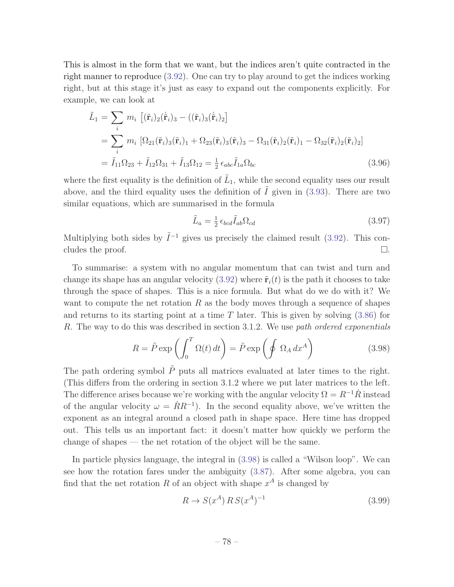This is almost in the form that we want, but the indices aren't quite contracted in the right manner to reproduce (3.92). One can try to play around to get the indices working right, but at this stage it's just as easy to expand out the components explicitly. For example, we can look at

$$
\tilde{L}_1 = \sum_i m_i \left[ (\tilde{\mathbf{r}}_i)_2 (\dot{\tilde{\mathbf{r}}}_i)_3 - ((\tilde{\mathbf{r}}_i)_3 (\dot{\tilde{\mathbf{r}}}_i)_2 \right]
$$
\n
$$
= \sum_i m_i \left[ \Omega_{21} (\tilde{\mathbf{r}}_i)_3 (\tilde{\mathbf{r}}_i)_1 + \Omega_{23} (\tilde{\mathbf{r}}_i)_3 (\tilde{\mathbf{r}}_i)_3 - \Omega_{31} (\tilde{\mathbf{r}}_i)_2 (\tilde{\mathbf{r}}_i)_1 - \Omega_{32} (\tilde{\mathbf{r}}_i)_2 (\tilde{\mathbf{r}}_i)_2 \right]
$$
\n
$$
= \tilde{I}_{11} \Omega_{23} + \tilde{I}_{12} \Omega_{31} + \tilde{I}_{13} \Omega_{12} = \frac{1}{2} \epsilon_{abc} \tilde{I}_{1a} \Omega_{bc}
$$
\n(3.96)

where the first equality is the definition of  $\tilde{L}_1$ , while the second equality uses our result above, and the third equality uses the definition of  $\tilde{I}$  given in (3.93). There are two similar equations, which are summarised in the formula

$$
\tilde{L}_a = \frac{1}{2} \epsilon_{bcd} \tilde{I}_{ab} \Omega_{cd} \tag{3.97}
$$

Multiplying both sides by  $\tilde{I}^{-1}$  gives us precisely the claimed result (3.92). This concludes the proof.  $\Box$ .

To summarise: a system with no angular momentum that can twist and turn and change its shape has an angular velocity (3.92) where  $\tilde{\mathbf{r}}_i(t)$  is the path it chooses to take through the space of shapes. This is a nice formula. But what do we do with it? We want to compute the net rotation *R* as the body moves through a sequence of shapes and returns to its starting point at a time *T* later. This is given by solving (3.86) for *R*. The way to do this was described in section 3.1.2. We use *path ordered exponentials*

$$
R = \tilde{P} \exp\left(\int_0^T \Omega(t) dt\right) = \tilde{P} \exp\left(\oint \Omega_A dx^A\right)
$$
 (3.98)

The path ordering symbol  $\tilde{P}$  puts all matrices evaluated at later times to the right. (This differs from the ordering in section  $3.1.2$  where we put later matrices to the left. The difference arises because we're working with the angular velocity  $\Omega = R^{-1}R$  instead of the angular velocity  $\omega = \dot{R}R^{-1}$ ). In the second equality above, we've written the exponent as an integral around a closed path in shape space. Here time has dropped out. This tells us an important fact: it doesn't matter how quickly we perform the change of shapes — the net rotation of the object will be the same.

In particle physics language, the integral in (3.98) is called a "Wilson loop". We can see how the rotation fares under the ambiguity (3.87). After some algebra, you can find that the net rotation R of an object with shape  $x^A$  is changed by

$$
R \to S(x^A) \, R \, S(x^A)^{-1} \tag{3.99}
$$